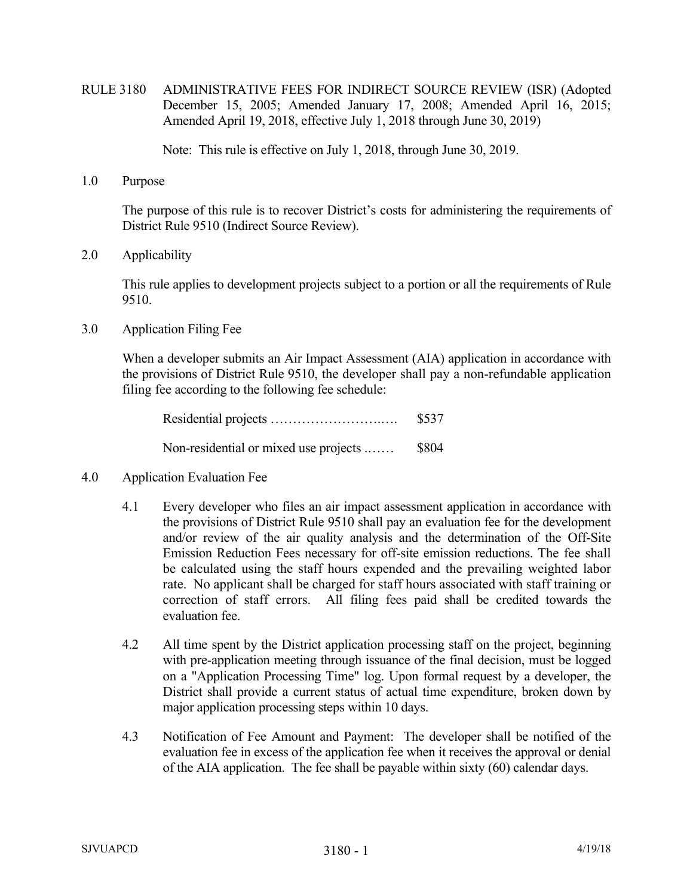RULE 3180 ADMINISTRATIVE FEES FOR INDIRECT SOURCE REVIEW (ISR) (Adopted December 15, 2005; Amended January 17, 2008; Amended April 16, 2015; Amended April 19, 2018, effective July 1, 2018 through June 30, 2019)

Note: This rule is effective on July 1, 2018, through June 30, 2019.

1.0 Purpose

The purpose of this rule is to recover District's costs for administering the requirements of District Rule 9510 (Indirect Source Review).

2.0 Applicability

This rule applies to development projects subject to a portion or all the requirements of Rule 9510.

3.0 Application Filing Fee

When a developer submits an Air Impact Assessment (AIA) application in accordance with the provisions of District Rule 9510, the developer shall pay a non-refundable application filing fee according to the following fee schedule:

|                                       | \$537 |
|---------------------------------------|-------|
| Non-residential or mixed use projects | \$804 |

- 4.0 Application Evaluation Fee
	- 4.1 Every developer who files an air impact assessment application in accordance with the provisions of District Rule 9510 shall pay an evaluation fee for the development and/or review of the air quality analysis and the determination of the Off-Site Emission Reduction Fees necessary for off-site emission reductions. The fee shall be calculated using the staff hours expended and the prevailing weighted labor rate. No applicant shall be charged for staff hours associated with staff training or correction of staff errors. All filing fees paid shall be credited towards the evaluation fee.
	- 4.2 All time spent by the District application processing staff on the project, beginning with pre-application meeting through issuance of the final decision, must be logged on a "Application Processing Time" log. Upon formal request by a developer, the District shall provide a current status of actual time expenditure, broken down by major application processing steps within 10 days.
	- 4.3 Notification of Fee Amount and Payment: The developer shall be notified of the evaluation fee in excess of the application fee when it receives the approval or denial of the AIA application. The fee shall be payable within sixty (60) calendar days.